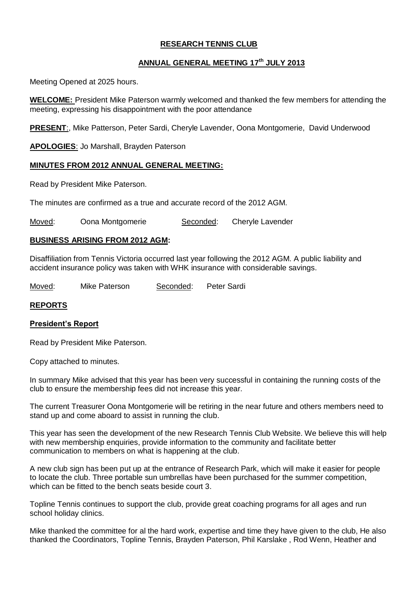# **RESEARCH TENNIS CLUB**

# **ANNUAL GENERAL MEETING 17th JULY 2013**

Meeting Opened at 2025 hours.

**WELCOME:** President Mike Paterson warmly welcomed and thanked the few members for attending the meeting, expressing his disappointment with the poor attendance

**PRESENT**:, Mike Patterson, Peter Sardi, Cheryle Lavender, Oona Montgomerie, David Underwood

**APOLOGIES**: Jo Marshall, Brayden Paterson

# **MINUTES FROM 2012 ANNUAL GENERAL MEETING:**

Read by President Mike Paterson.

The minutes are confirmed as a true and accurate record of the 2012 AGM.

Moved: Oona Montgomerie Seconded: Cheryle Lavender

## **BUSINESS ARISING FROM 2012 AGM:**

Disaffiliation from Tennis Victoria occurred last year following the 2012 AGM. A public liability and accident insurance policy was taken with WHK insurance with considerable savings.

Moved: Mike Paterson Seconded: Peter Sardi

## **REPORTS**

## **President's Report**

Read by President Mike Paterson.

Copy attached to minutes.

In summary Mike advised that this year has been very successful in containing the running costs of the club to ensure the membership fees did not increase this year.

The current Treasurer Oona Montgomerie will be retiring in the near future and others members need to stand up and come aboard to assist in running the club.

This year has seen the development of the new Research Tennis Club Website. We believe this will help with new membership enquiries, provide information to the community and facilitate better communication to members on what is happening at the club.

A new club sign has been put up at the entrance of Research Park, which will make it easier for people to locate the club. Three portable sun umbrellas have been purchased for the summer competition, which can be fitted to the bench seats beside court 3.

Topline Tennis continues to support the club, provide great coaching programs for all ages and run school holiday clinics.

Mike thanked the committee for al the hard work, expertise and time they have given to the club, He also thanked the Coordinators, Topline Tennis, Brayden Paterson, Phil Karslake , Rod Wenn, Heather and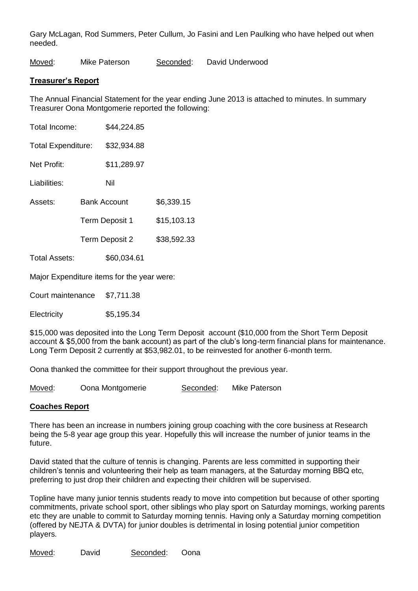Gary McLagan, Rod Summers, Peter Cullum, Jo Fasini and Len Paulking who have helped out when needed.

Moved: Mike Paterson Seconded: David Underwood

#### **Treasurer's Report**

The Annual Financial Statement for the year ending June 2013 is attached to minutes. In summary Treasurer Oona Montgomerie reported the following:

| Total Income:                              |                     | \$44,224.85 |             |
|--------------------------------------------|---------------------|-------------|-------------|
| <b>Total Expenditure:</b>                  |                     | \$32,934.88 |             |
| Net Profit:                                |                     | \$11,289.97 |             |
| Liabilities:                               |                     | Nil         |             |
| Assets:                                    | <b>Bank Account</b> |             | \$6,339.15  |
|                                            | Term Deposit 1      |             | \$15,103.13 |
|                                            | Term Deposit 2      |             | \$38,592.33 |
| Total Assets:                              |                     | \$60,034.61 |             |
| Major Expenditure items for the year were: |                     |             |             |

Court maintenance \$7,711.38

Electricity \$5,195.34

\$15,000 was deposited into the Long Term Deposit account (\$10,000 from the Short Term Deposit account & \$5,000 from the bank account) as part of the club's long-term financial plans for maintenance. Long Term Deposit 2 currently at \$53,982.01, to be reinvested for another 6-month term.

Oona thanked the committee for their support throughout the previous year.

Moved: Oona Montgomerie Seconded: Mike Paterson

## **Coaches Report**

There has been an increase in numbers joining group coaching with the core business at Research being the 5-8 year age group this year. Hopefully this will increase the number of junior teams in the future.

David stated that the culture of tennis is changing. Parents are less committed in supporting their children's tennis and volunteering their help as team managers, at the Saturday morning BBQ etc, preferring to just drop their children and expecting their children will be supervised.

Topline have many junior tennis students ready to move into competition but because of other sporting commitments, private school sport, other siblings who play sport on Saturday mornings, working parents etc they are unable to commit to Saturday morning tennis. Having only a Saturday morning competition (offered by NEJTA & DVTA) for junior doubles is detrimental in losing potential junior competition players.

Moved: David Seconded: Oona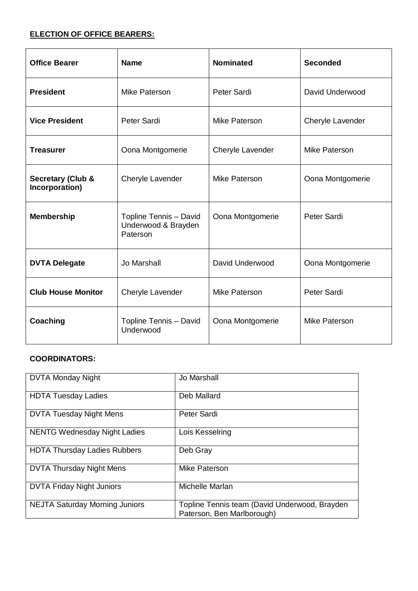# **ELECTION OF OFFICE BEARERS:**

| <b>Office Bearer</b>                           | <b>Name</b>                                               | <b>Nominated</b>     | <b>Seconded</b>  |
|------------------------------------------------|-----------------------------------------------------------|----------------------|------------------|
| <b>President</b>                               | Mike Paterson                                             | Peter Sardi          | David Underwood  |
| <b>Vice President</b>                          | Peter Sardi                                               | Mike Paterson        | Cheryle Lavender |
| <b>Treasurer</b>                               | Oona Montgomerie                                          | Cheryle Lavender     | Mike Paterson    |
| <b>Secretary (Club &amp;</b><br>Incorporation) | Cheryle Lavender                                          | <b>Mike Paterson</b> | Oona Montgomerie |
| <b>Membership</b>                              | Topline Tennis - David<br>Underwood & Brayden<br>Paterson | Oona Montgomerie     | Peter Sardi      |
| <b>DVTA Delegate</b>                           | Jo Marshall                                               | David Underwood      | Oona Montgomerie |
| <b>Club House Monitor</b>                      | Cheryle Lavender                                          | Mike Paterson        | Peter Sardi      |
| Coaching                                       | Topline Tennis - David<br>Underwood                       | Oona Montgomerie     | Mike Paterson    |

# **COORDINATORS:**

| <b>DVTA Monday Night</b>              | Jo Marshall                                                                 |
|---------------------------------------|-----------------------------------------------------------------------------|
| <b>HDTA Tuesday Ladies</b>            | Deb Mallard                                                                 |
| <b>DVTA Tuesday Night Mens</b>        | <b>Peter Sardi</b>                                                          |
| <b>NENTG Wednesday Night Ladies</b>   | Lois Kesselring                                                             |
| <b>HDTA Thursday Ladies Rubbers</b>   | Deb Gray                                                                    |
| <b>DVTA Thursday Night Mens</b>       | Mike Paterson                                                               |
| <b>DVTA Friday Night Juniors</b>      | Michelle Marlan                                                             |
| <b>NEJTA Saturday Morning Juniors</b> | Topline Tennis team (David Underwood, Brayden<br>Paterson, Ben Marlborough) |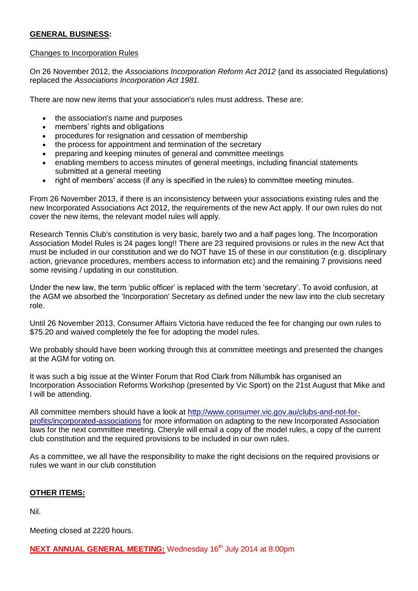## **GENERAL BUSINESS:**

#### Changes to Incorporation Rules

On 26 November 2012, the *Associations Incorporation Reform Act 2012* (and its associated Regulations) replaced the *Associations Incorporation Act 1981.*

There are now new items that your association's rules must address. These are:

- the association's name and purposes
- members' rights and obligations
- procedures for resignation and cessation of membership
- the process for appointment and termination of the secretary
- preparing and keeping minutes of general and committee meetings
- enabling members to access minutes of general meetings, including financial statements submitted at a general meeting
- right of members' access (if any is specified in the rules) to committee meeting minutes.

From 26 November 2013, if there is an inconsistency between your associations existing rules and the new Incorporated Associations Act 2012, the requirements of the new Act apply. If our own rules do not cover the new items, the relevant model rules will apply.

Research Tennis Club's constitution is very basic, barely two and a half pages long. The Incorporation Association Model Rules is 24 pages long!! There are 23 required provisions or rules in the new Act that must be included in our constitution and we do NOT have 15 of these in our constitution (e.g. disciplinary action, grievance procedures, members access to information etc) and the remaining 7 provisions need some revising / updating in our constitution.

Under the new law, the term 'public officer' is replaced with the term 'secretary'. To avoid confusion, at the AGM we absorbed the 'Incorporation' Secretary as defined under the new law into the club secretary role.

Until 26 November 2013, Consumer Affairs Victoria have reduced the fee for changing our own rules to \$75.20 and waived completely the fee for adopting the model rules.

We probably should have been working through this at committee meetings and presented the changes at the AGM for voting on.

It was such a big issue at the Winter Forum that Rod Clark from Nillumbik has organised an Incorporation Association Reforms Workshop (presented by Vic Sport) on the 21st August that Mike and I will be attending.

All committee members should have a look at [http://www.consumer.vic.gov.au/clubs-and-not-for](http://www.consumer.vic.gov.au/clubs-and-not-for-profits/incorporated-associations)[profits/incorporated-associations](http://www.consumer.vic.gov.au/clubs-and-not-for-profits/incorporated-associations) for more information on adapting to the new Incorporated Association laws for the next committee meeting. Cheryle will email a copy of the model rules, a copy of the current club constitution and the required provisions to be included in our own rules.

As a committee, we all have the responsibility to make the right decisions on the required provisions or rules we want in our club constitution

## **OTHER ITEMS:**

Nil.

Meeting closed at 2220 hours.

**NEXT ANNUAL GENERAL MEETING:** Wednesday 16<sup>th</sup> July 2014 at 8:00pm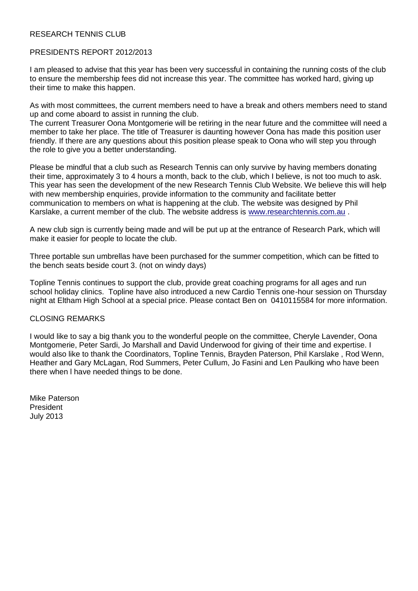## RESEARCH TENNIS CLUB

#### PRESIDENTS REPORT 2012/2013

I am pleased to advise that this year has been very successful in containing the running costs of the club to ensure the membership fees did not increase this year. The committee has worked hard, giving up their time to make this happen.

As with most committees, the current members need to have a break and others members need to stand up and come aboard to assist in running the club.

The current Treasurer Oona Montgomerie will be retiring in the near future and the committee will need a member to take her place. The title of Treasurer is daunting however Oona has made this position user friendly. If there are any questions about this position please speak to Oona who will step you through the role to give you a better understanding.

Please be mindful that a club such as Research Tennis can only survive by having members donating their time, approximately 3 to 4 hours a month, back to the club, which I believe, is not too much to ask. This year has seen the development of the new Research Tennis Club Website. We believe this will help with new membership enquiries, provide information to the community and facilitate better communication to members on what is happening at the club. The website was designed by Phil Karslake, a current member of the club. The website address is [www.researchtennis.com.au](http://www.researchtennis.com.au/) .

A new club sign is currently being made and will be put up at the entrance of Research Park, which will make it easier for people to locate the club.

Three portable sun umbrellas have been purchased for the summer competition, which can be fitted to the bench seats beside court 3. (not on windy days)

Topline Tennis continues to support the club, provide great coaching programs for all ages and run school holiday clinics. Topline have also introduced a new Cardio Tennis one-hour session on Thursday night at Eltham High School at a special price. Please contact Ben on 0410115584 for more information.

#### CLOSING REMARKS

I would like to say a big thank you to the wonderful people on the committee, Cheryle Lavender, Oona Montgomerie, Peter Sardi, Jo Marshall and David Underwood for giving of their time and expertise. I would also like to thank the Coordinators, Topline Tennis, Brayden Paterson, Phil Karslake , Rod Wenn, Heather and Gary McLagan, Rod Summers, Peter Cullum, Jo Fasini and Len Paulking who have been there when l have needed things to be done.

Mike Paterson President July 2013